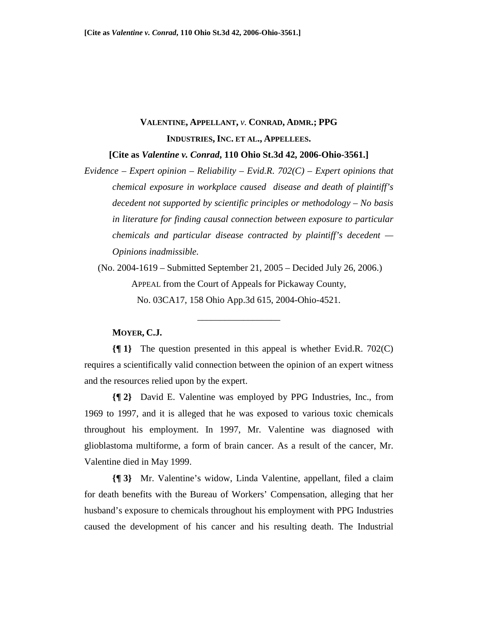# **VALENTINE, APPELLANT,** *v.* **CONRAD, ADMR.; PPG INDUSTRIES, INC. ET AL., APPELLEES.**

**[Cite as** *Valentine v. Conrad***, 110 Ohio St.3d 42, 2006-Ohio-3561.]** 

*Evidence – Expert opinion – Reliability – Evid.R. 702(C) – Expert opinions that chemical exposure in workplace caused disease and death of plaintiff's decedent not supported by scientific principles or methodology – No basis in literature for finding causal connection between exposure to particular chemicals and particular disease contracted by plaintiff's decedent — Opinions inadmissible.* 

 (No. 2004-1619 – Submitted September 21, 2005 – Decided July 26, 2006.) APPEAL from the Court of Appeals for Pickaway County, No. 03CA17, 158 Ohio App.3d 615, 2004-Ohio-4521.

\_\_\_\_\_\_\_\_\_\_\_\_\_\_\_\_\_\_

# **MOYER, C.J.**

**{¶ 1}** The question presented in this appeal is whether Evid.R. 702(C) requires a scientifically valid connection between the opinion of an expert witness and the resources relied upon by the expert.

**{¶ 2}** David E. Valentine was employed by PPG Industries, Inc., from 1969 to 1997, and it is alleged that he was exposed to various toxic chemicals throughout his employment. In 1997, Mr. Valentine was diagnosed with glioblastoma multiforme, a form of brain cancer. As a result of the cancer, Mr. Valentine died in May 1999.

**{¶ 3}** Mr. Valentine's widow, Linda Valentine, appellant, filed a claim for death benefits with the Bureau of Workers' Compensation, alleging that her husband's exposure to chemicals throughout his employment with PPG Industries caused the development of his cancer and his resulting death. The Industrial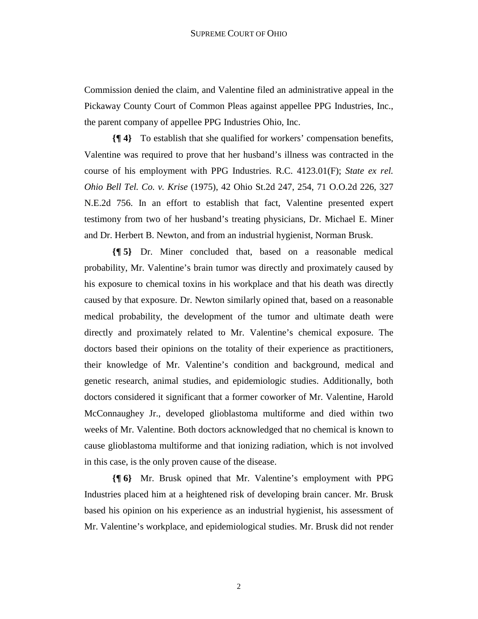Commission denied the claim, and Valentine filed an administrative appeal in the Pickaway County Court of Common Pleas against appellee PPG Industries, Inc., the parent company of appellee PPG Industries Ohio, Inc.

**{¶ 4}** To establish that she qualified for workers' compensation benefits, Valentine was required to prove that her husband's illness was contracted in the course of his employment with PPG Industries. R.C. 4123.01(F); *State ex rel. Ohio Bell Tel. Co. v. Krise* (1975), 42 Ohio St.2d 247, 254, 71 O.O.2d 226, 327 N.E.2d 756. In an effort to establish that fact, Valentine presented expert testimony from two of her husband's treating physicians, Dr. Michael E. Miner and Dr. Herbert B. Newton, and from an industrial hygienist, Norman Brusk.

**{¶ 5}** Dr. Miner concluded that, based on a reasonable medical probability, Mr. Valentine's brain tumor was directly and proximately caused by his exposure to chemical toxins in his workplace and that his death was directly caused by that exposure. Dr. Newton similarly opined that, based on a reasonable medical probability, the development of the tumor and ultimate death were directly and proximately related to Mr. Valentine's chemical exposure. The doctors based their opinions on the totality of their experience as practitioners, their knowledge of Mr. Valentine's condition and background, medical and genetic research, animal studies, and epidemiologic studies. Additionally, both doctors considered it significant that a former coworker of Mr. Valentine, Harold McConnaughey Jr., developed glioblastoma multiforme and died within two weeks of Mr. Valentine. Both doctors acknowledged that no chemical is known to cause glioblastoma multiforme and that ionizing radiation, which is not involved in this case, is the only proven cause of the disease.

**{¶ 6}** Mr. Brusk opined that Mr. Valentine's employment with PPG Industries placed him at a heightened risk of developing brain cancer. Mr. Brusk based his opinion on his experience as an industrial hygienist, his assessment of Mr. Valentine's workplace, and epidemiological studies. Mr. Brusk did not render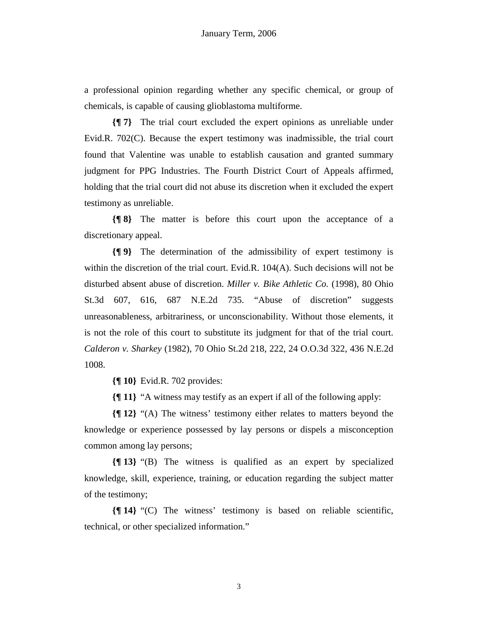a professional opinion regarding whether any specific chemical, or group of chemicals, is capable of causing glioblastoma multiforme.

**{¶ 7}** The trial court excluded the expert opinions as unreliable under Evid.R. 702(C). Because the expert testimony was inadmissible, the trial court found that Valentine was unable to establish causation and granted summary judgment for PPG Industries. The Fourth District Court of Appeals affirmed, holding that the trial court did not abuse its discretion when it excluded the expert testimony as unreliable.

**{¶ 8}** The matter is before this court upon the acceptance of a discretionary appeal.

**{¶ 9}** The determination of the admissibility of expert testimony is within the discretion of the trial court. Evid.R.  $104(A)$ . Such decisions will not be disturbed absent abuse of discretion. *Miller v. Bike Athletic Co.* (1998), 80 Ohio St.3d 607, 616, 687 N.E.2d 735. "Abuse of discretion" suggests unreasonableness, arbitrariness, or unconscionability. Without those elements, it is not the role of this court to substitute its judgment for that of the trial court. *Calderon v. Sharkey* (1982), 70 Ohio St.2d 218, 222, 24 O.O.3d 322, 436 N.E.2d 1008.

**{¶ 10}** Evid.R. 702 provides:

**{¶ 11}** "A witness may testify as an expert if all of the following apply:

**{¶ 12}** "(A) The witness' testimony either relates to matters beyond the knowledge or experience possessed by lay persons or dispels a misconception common among lay persons;

**{¶ 13}** "(B) The witness is qualified as an expert by specialized knowledge, skill, experience, training, or education regarding the subject matter of the testimony;

**{¶ 14}** "(C) The witness' testimony is based on reliable scientific, technical, or other specialized information."

3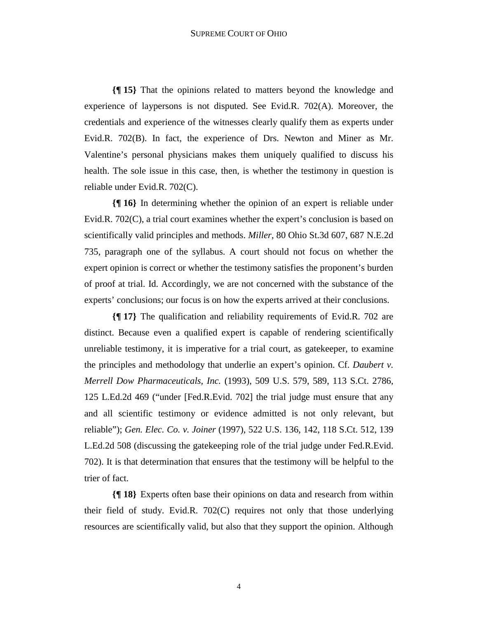**{¶ 15}** That the opinions related to matters beyond the knowledge and experience of laypersons is not disputed. See Evid.R. 702(A). Moreover, the credentials and experience of the witnesses clearly qualify them as experts under Evid.R. 702(B). In fact, the experience of Drs. Newton and Miner as Mr. Valentine's personal physicians makes them uniquely qualified to discuss his health. The sole issue in this case, then, is whether the testimony in question is reliable under Evid.R. 702(C).

**{¶ 16}** In determining whether the opinion of an expert is reliable under Evid.R. 702(C), a trial court examines whether the expert's conclusion is based on scientifically valid principles and methods. *Miller*, 80 Ohio St.3d 607, 687 N.E.2d 735, paragraph one of the syllabus. A court should not focus on whether the expert opinion is correct or whether the testimony satisfies the proponent's burden of proof at trial. Id. Accordingly, we are not concerned with the substance of the experts' conclusions; our focus is on how the experts arrived at their conclusions.

**{¶ 17}** The qualification and reliability requirements of Evid.R. 702 are distinct. Because even a qualified expert is capable of rendering scientifically unreliable testimony, it is imperative for a trial court, as gatekeeper, to examine the principles and methodology that underlie an expert's opinion. Cf. *Daubert v. Merrell Dow Pharmaceuticals, Inc.* (1993), 509 U.S. 579, 589, 113 S.Ct. 2786, 125 L.Ed.2d 469 ("under [Fed.R.Evid. 702] the trial judge must ensure that any and all scientific testimony or evidence admitted is not only relevant, but reliable"); *Gen. Elec. Co. v. Joiner* (1997), 522 U.S. 136, 142, 118 S.Ct. 512, 139 L.Ed.2d 508 (discussing the gatekeeping role of the trial judge under Fed.R.Evid. 702). It is that determination that ensures that the testimony will be helpful to the trier of fact.

**{¶ 18}** Experts often base their opinions on data and research from within their field of study. Evid.R. 702(C) requires not only that those underlying resources are scientifically valid, but also that they support the opinion. Although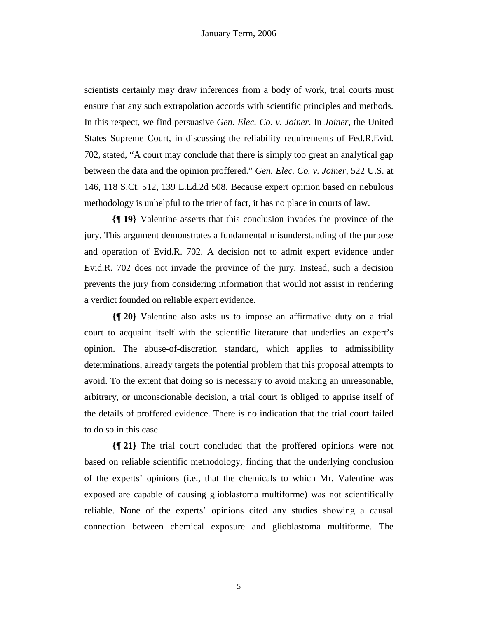scientists certainly may draw inferences from a body of work, trial courts must ensure that any such extrapolation accords with scientific principles and methods. In this respect, we find persuasive *Gen. Elec. Co. v. Joiner*. In *Joiner*, the United States Supreme Court, in discussing the reliability requirements of Fed.R.Evid. 702, stated, "A court may conclude that there is simply too great an analytical gap between the data and the opinion proffered." *Gen. Elec. Co. v. Joiner*, 522 U.S. at 146, 118 S.Ct. 512, 139 L.Ed.2d 508. Because expert opinion based on nebulous methodology is unhelpful to the trier of fact, it has no place in courts of law.

**{¶ 19}** Valentine asserts that this conclusion invades the province of the jury. This argument demonstrates a fundamental misunderstanding of the purpose and operation of Evid.R. 702. A decision not to admit expert evidence under Evid.R. 702 does not invade the province of the jury. Instead, such a decision prevents the jury from considering information that would not assist in rendering a verdict founded on reliable expert evidence.

**{¶ 20}** Valentine also asks us to impose an affirmative duty on a trial court to acquaint itself with the scientific literature that underlies an expert's opinion. The abuse-of-discretion standard, which applies to admissibility determinations, already targets the potential problem that this proposal attempts to avoid. To the extent that doing so is necessary to avoid making an unreasonable, arbitrary, or unconscionable decision, a trial court is obliged to apprise itself of the details of proffered evidence. There is no indication that the trial court failed to do so in this case.

**{¶ 21}** The trial court concluded that the proffered opinions were not based on reliable scientific methodology, finding that the underlying conclusion of the experts' opinions (i.e., that the chemicals to which Mr. Valentine was exposed are capable of causing glioblastoma multiforme) was not scientifically reliable. None of the experts' opinions cited any studies showing a causal connection between chemical exposure and glioblastoma multiforme. The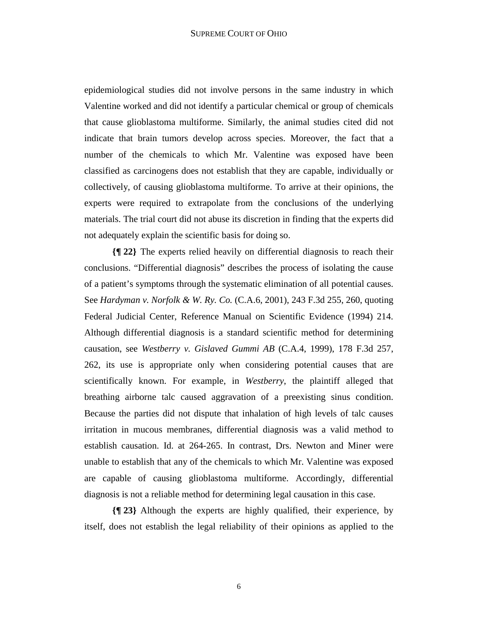epidemiological studies did not involve persons in the same industry in which Valentine worked and did not identify a particular chemical or group of chemicals that cause glioblastoma multiforme. Similarly, the animal studies cited did not indicate that brain tumors develop across species. Moreover, the fact that a number of the chemicals to which Mr. Valentine was exposed have been classified as carcinogens does not establish that they are capable, individually or collectively, of causing glioblastoma multiforme. To arrive at their opinions, the experts were required to extrapolate from the conclusions of the underlying materials. The trial court did not abuse its discretion in finding that the experts did not adequately explain the scientific basis for doing so.

**{¶ 22}** The experts relied heavily on differential diagnosis to reach their conclusions. "Differential diagnosis" describes the process of isolating the cause of a patient's symptoms through the systematic elimination of all potential causes. See *Hardyman v. Norfolk & W. Ry. Co.* (C.A.6, 2001), 243 F.3d 255, 260, quoting Federal Judicial Center, Reference Manual on Scientific Evidence (1994) 214. Although differential diagnosis is a standard scientific method for determining causation, see *Westberry v. Gislaved Gummi AB* (C.A.4, 1999), 178 F.3d 257, 262, its use is appropriate only when considering potential causes that are scientifically known. For example, in *Westberry*, the plaintiff alleged that breathing airborne talc caused aggravation of a preexisting sinus condition. Because the parties did not dispute that inhalation of high levels of talc causes irritation in mucous membranes, differential diagnosis was a valid method to establish causation. Id. at 264-265. In contrast, Drs. Newton and Miner were unable to establish that any of the chemicals to which Mr. Valentine was exposed are capable of causing glioblastoma multiforme. Accordingly, differential diagnosis is not a reliable method for determining legal causation in this case.

**{¶ 23}** Although the experts are highly qualified, their experience, by itself, does not establish the legal reliability of their opinions as applied to the

6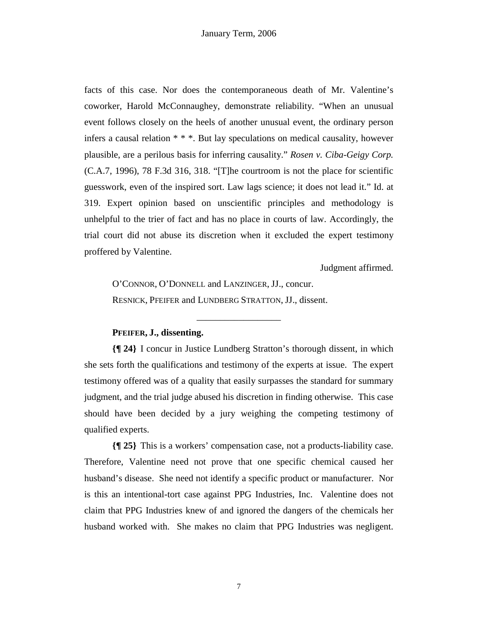facts of this case. Nor does the contemporaneous death of Mr. Valentine's coworker, Harold McConnaughey, demonstrate reliability. "When an unusual event follows closely on the heels of another unusual event, the ordinary person infers a causal relation \* \* \*. But lay speculations on medical causality, however plausible, are a perilous basis for inferring causality." *Rosen v. Ciba-Geigy Corp.*  (C.A.7, 1996), 78 F.3d 316, 318. "[T]he courtroom is not the place for scientific guesswork, even of the inspired sort. Law lags science; it does not lead it." Id. at 319. Expert opinion based on unscientific principles and methodology is unhelpful to the trier of fact and has no place in courts of law. Accordingly, the trial court did not abuse its discretion when it excluded the expert testimony proffered by Valentine.

Judgment affirmed.

 O'CONNOR, O'DONNELL and LANZINGER, JJ., concur. RESNICK, PFEIFER and LUNDBERG STRATTON, JJ., dissent.

# **PFEIFER, J., dissenting.**

**{¶ 24}** I concur in Justice Lundberg Stratton's thorough dissent, in which she sets forth the qualifications and testimony of the experts at issue. The expert testimony offered was of a quality that easily surpasses the standard for summary judgment, and the trial judge abused his discretion in finding otherwise. This case should have been decided by a jury weighing the competing testimony of qualified experts.

\_\_\_\_\_\_\_\_\_\_\_\_\_\_\_\_\_\_

**{¶ 25}** This is a workers' compensation case, not a products-liability case. Therefore, Valentine need not prove that one specific chemical caused her husband's disease. She need not identify a specific product or manufacturer. Nor is this an intentional-tort case against PPG Industries, Inc. Valentine does not claim that PPG Industries knew of and ignored the dangers of the chemicals her husband worked with. She makes no claim that PPG Industries was negligent.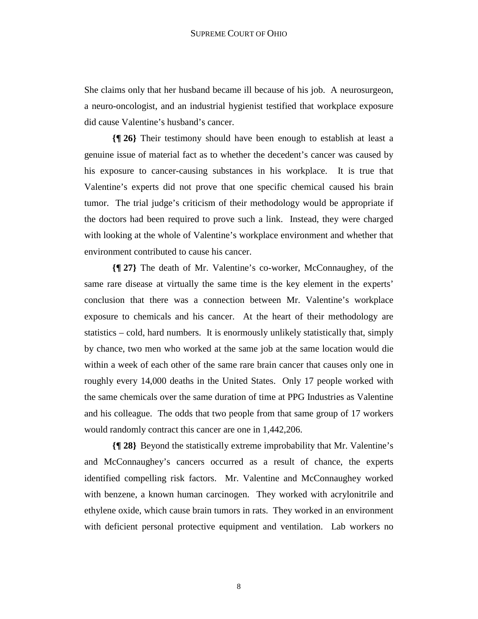She claims only that her husband became ill because of his job. A neurosurgeon, a neuro-oncologist, and an industrial hygienist testified that workplace exposure did cause Valentine's husband's cancer.

**{¶ 26}** Their testimony should have been enough to establish at least a genuine issue of material fact as to whether the decedent's cancer was caused by his exposure to cancer-causing substances in his workplace. It is true that Valentine's experts did not prove that one specific chemical caused his brain tumor. The trial judge's criticism of their methodology would be appropriate if the doctors had been required to prove such a link. Instead, they were charged with looking at the whole of Valentine's workplace environment and whether that environment contributed to cause his cancer.

**{¶ 27}** The death of Mr. Valentine's co-worker, McConnaughey, of the same rare disease at virtually the same time is the key element in the experts' conclusion that there was a connection between Mr. Valentine's workplace exposure to chemicals and his cancer. At the heart of their methodology are statistics – cold, hard numbers. It is enormously unlikely statistically that, simply by chance, two men who worked at the same job at the same location would die within a week of each other of the same rare brain cancer that causes only one in roughly every 14,000 deaths in the United States. Only 17 people worked with the same chemicals over the same duration of time at PPG Industries as Valentine and his colleague. The odds that two people from that same group of 17 workers would randomly contract this cancer are one in 1,442,206.

**{¶ 28}** Beyond the statistically extreme improbability that Mr. Valentine's and McConnaughey's cancers occurred as a result of chance, the experts identified compelling risk factors. Mr. Valentine and McConnaughey worked with benzene, a known human carcinogen. They worked with acrylonitrile and ethylene oxide, which cause brain tumors in rats. They worked in an environment with deficient personal protective equipment and ventilation. Lab workers no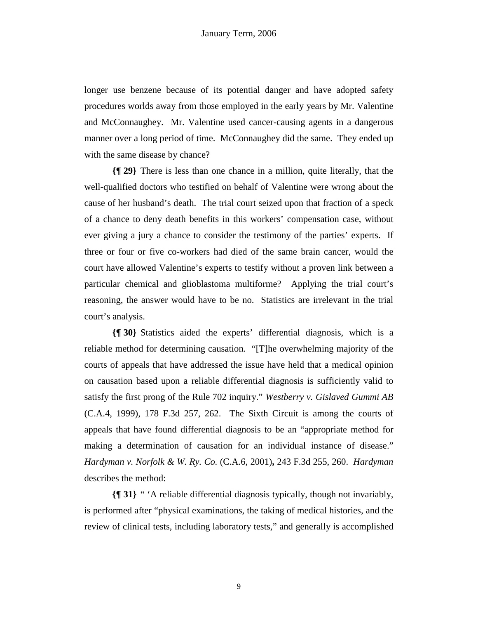longer use benzene because of its potential danger and have adopted safety procedures worlds away from those employed in the early years by Mr. Valentine and McConnaughey. Mr. Valentine used cancer-causing agents in a dangerous manner over a long period of time. McConnaughey did the same. They ended up with the same disease by chance?

**{¶ 29}** There is less than one chance in a million, quite literally, that the well-qualified doctors who testified on behalf of Valentine were wrong about the cause of her husband's death. The trial court seized upon that fraction of a speck of a chance to deny death benefits in this workers' compensation case, without ever giving a jury a chance to consider the testimony of the parties' experts. If three or four or five co-workers had died of the same brain cancer, would the court have allowed Valentine's experts to testify without a proven link between a particular chemical and glioblastoma multiforme? Applying the trial court's reasoning, the answer would have to be no. Statistics are irrelevant in the trial court's analysis.

**{¶ 30}** Statistics aided the experts' differential diagnosis, which is a reliable method for determining causation. "[T]he overwhelming majority of the courts of appeals that have addressed the issue have held that a medical opinion on causation based upon a reliable differential diagnosis is sufficiently valid to satisfy the first prong of the Rule 702 inquiry." *Westberry v. Gislaved Gummi AB* (C.A.4, 1999), 178 F.3d 257, 262. The Sixth Circuit is among the courts of appeals that have found differential diagnosis to be an "appropriate method for making a determination of causation for an individual instance of disease." *Hardyman v. Norfolk & W. Ry. Co.* (C.A.6, 2001)**,** 243 F.3d 255, 260. *Hardyman* describes the method:

**{¶ 31}** " 'A reliable differential diagnosis typically, though not invariably, is performed after "physical examinations, the taking of medical histories, and the review of clinical tests, including laboratory tests," and generally is accomplished

9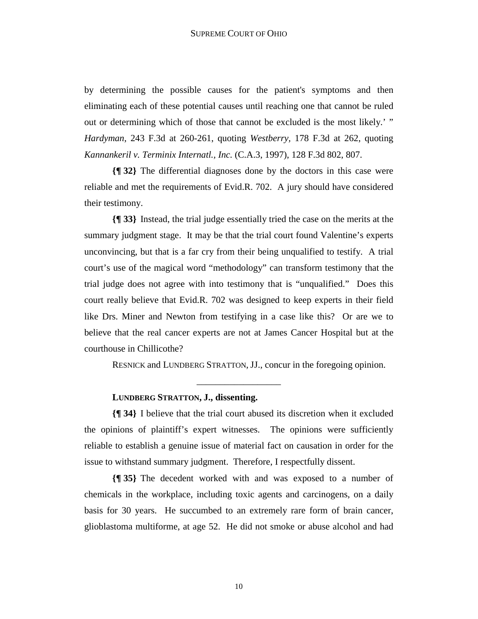by determining the possible causes for the patient's symptoms and then eliminating each of these potential causes until reaching one that cannot be ruled out or determining which of those that cannot be excluded is the most likely.' " *Hardyman*, 243 F.3d at 260-261, quoting *Westberry,* 178 F.3d at 262, quoting *Kannankeril v. Terminix Internatl., Inc.* (C.A.3, 1997), 128 F.3d 802, 807.

**{¶ 32}** The differential diagnoses done by the doctors in this case were reliable and met the requirements of Evid.R. 702. A jury should have considered their testimony.

**{¶ 33}** Instead, the trial judge essentially tried the case on the merits at the summary judgment stage. It may be that the trial court found Valentine's experts unconvincing, but that is a far cry from their being unqualified to testify. A trial court's use of the magical word "methodology" can transform testimony that the trial judge does not agree with into testimony that is "unqualified." Does this court really believe that Evid.R. 702 was designed to keep experts in their field like Drs. Miner and Newton from testifying in a case like this? Or are we to believe that the real cancer experts are not at James Cancer Hospital but at the courthouse in Chillicothe?

RESNICK and LUNDBERG STRATTON, JJ., concur in the foregoing opinion.

\_\_\_\_\_\_\_\_\_\_\_\_\_\_\_\_\_\_

#### **LUNDBERG STRATTON, J., dissenting.**

**{¶ 34}** I believe that the trial court abused its discretion when it excluded the opinions of plaintiff's expert witnesses. The opinions were sufficiently reliable to establish a genuine issue of material fact on causation in order for the issue to withstand summary judgment. Therefore, I respectfully dissent.

**{¶ 35}** The decedent worked with and was exposed to a number of chemicals in the workplace, including toxic agents and carcinogens, on a daily basis for 30 years. He succumbed to an extremely rare form of brain cancer, glioblastoma multiforme, at age 52. He did not smoke or abuse alcohol and had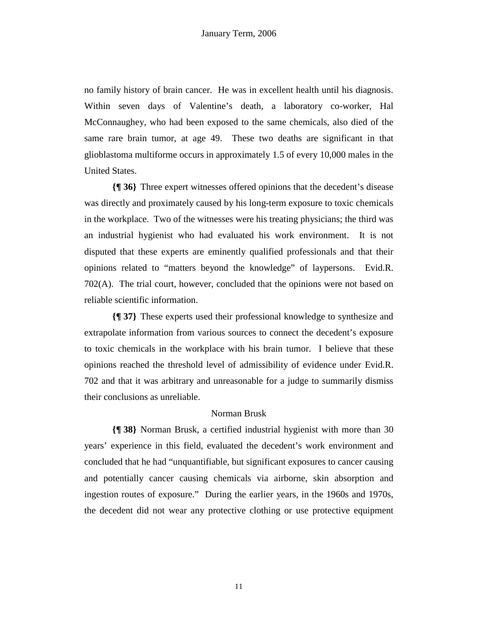no family history of brain cancer. He was in excellent health until his diagnosis. Within seven days of Valentine's death, a laboratory co-worker, Hal McConnaughey, who had been exposed to the same chemicals, also died of the same rare brain tumor, at age 49. These two deaths are significant in that glioblastoma multiforme occurs in approximately 1.5 of every 10,000 males in the United States.

**{¶ 36}** Three expert witnesses offered opinions that the decedent's disease was directly and proximately caused by his long-term exposure to toxic chemicals in the workplace. Two of the witnesses were his treating physicians; the third was an industrial hygienist who had evaluated his work environment. It is not disputed that these experts are eminently qualified professionals and that their opinions related to "matters beyond the knowledge" of laypersons. Evid.R. 702(A). The trial court, however, concluded that the opinions were not based on reliable scientific information.

**{¶ 37}** These experts used their professional knowledge to synthesize and extrapolate information from various sources to connect the decedent's exposure to toxic chemicals in the workplace with his brain tumor. I believe that these opinions reached the threshold level of admissibility of evidence under Evid.R. 702 and that it was arbitrary and unreasonable for a judge to summarily dismiss their conclusions as unreliable.

#### Norman Brusk

**{¶ 38}** Norman Brusk, a certified industrial hygienist with more than 30 years' experience in this field, evaluated the decedent's work environment and concluded that he had "unquantifiable, but significant exposures to cancer causing and potentially cancer causing chemicals via airborne, skin absorption and ingestion routes of exposure." During the earlier years, in the 1960s and 1970s, the decedent did not wear any protective clothing or use protective equipment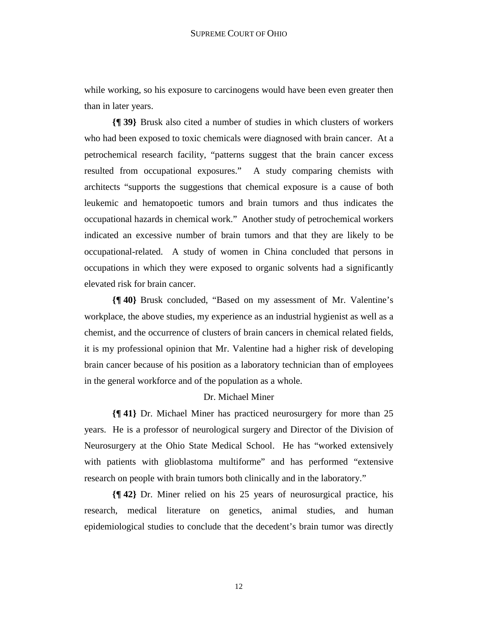while working, so his exposure to carcinogens would have been even greater then than in later years.

**{¶ 39}** Brusk also cited a number of studies in which clusters of workers who had been exposed to toxic chemicals were diagnosed with brain cancer. At a petrochemical research facility, "patterns suggest that the brain cancer excess resulted from occupational exposures." A study comparing chemists with architects "supports the suggestions that chemical exposure is a cause of both leukemic and hematopoetic tumors and brain tumors and thus indicates the occupational hazards in chemical work." Another study of petrochemical workers indicated an excessive number of brain tumors and that they are likely to be occupational-related. A study of women in China concluded that persons in occupations in which they were exposed to organic solvents had a significantly elevated risk for brain cancer.

**{¶ 40}** Brusk concluded, "Based on my assessment of Mr. Valentine's workplace, the above studies, my experience as an industrial hygienist as well as a chemist, and the occurrence of clusters of brain cancers in chemical related fields, it is my professional opinion that Mr. Valentine had a higher risk of developing brain cancer because of his position as a laboratory technician than of employees in the general workforce and of the population as a whole.

# Dr. Michael Miner

**{¶ 41}** Dr. Michael Miner has practiced neurosurgery for more than 25 years. He is a professor of neurological surgery and Director of the Division of Neurosurgery at the Ohio State Medical School. He has "worked extensively with patients with glioblastoma multiforme" and has performed "extensive research on people with brain tumors both clinically and in the laboratory."

**{¶ 42}** Dr. Miner relied on his 25 years of neurosurgical practice, his research, medical literature on genetics, animal studies, and human epidemiological studies to conclude that the decedent's brain tumor was directly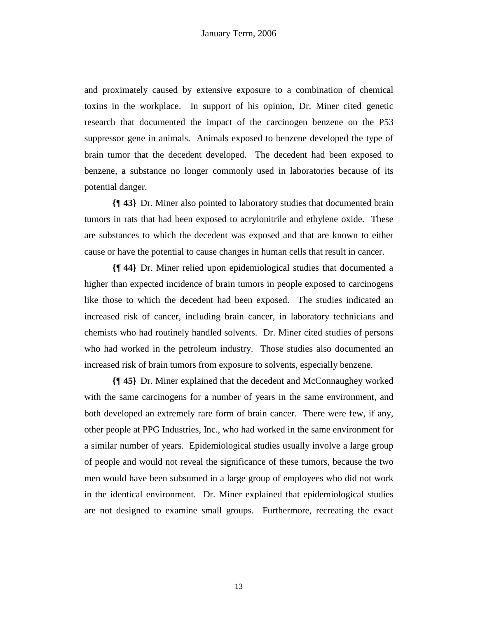and proximately caused by extensive exposure to a combination of chemical toxins in the workplace. In support of his opinion, Dr. Miner cited genetic research that documented the impact of the carcinogen benzene on the P53 suppressor gene in animals. Animals exposed to benzene developed the type of brain tumor that the decedent developed. The decedent had been exposed to benzene, a substance no longer commonly used in laboratories because of its potential danger.

**{¶ 43}** Dr. Miner also pointed to laboratory studies that documented brain tumors in rats that had been exposed to acrylonitrile and ethylene oxide. These are substances to which the decedent was exposed and that are known to either cause or have the potential to cause changes in human cells that result in cancer.

**{¶ 44}** Dr. Miner relied upon epidemiological studies that documented a higher than expected incidence of brain tumors in people exposed to carcinogens like those to which the decedent had been exposed. The studies indicated an increased risk of cancer, including brain cancer, in laboratory technicians and chemists who had routinely handled solvents. Dr. Miner cited studies of persons who had worked in the petroleum industry. Those studies also documented an increased risk of brain tumors from exposure to solvents, especially benzene.

**{¶ 45}** Dr. Miner explained that the decedent and McConnaughey worked with the same carcinogens for a number of years in the same environment, and both developed an extremely rare form of brain cancer. There were few, if any, other people at PPG Industries, Inc., who had worked in the same environment for a similar number of years. Epidemiological studies usually involve a large group of people and would not reveal the significance of these tumors, because the two men would have been subsumed in a large group of employees who did not work in the identical environment. Dr. Miner explained that epidemiological studies are not designed to examine small groups. Furthermore, recreating the exact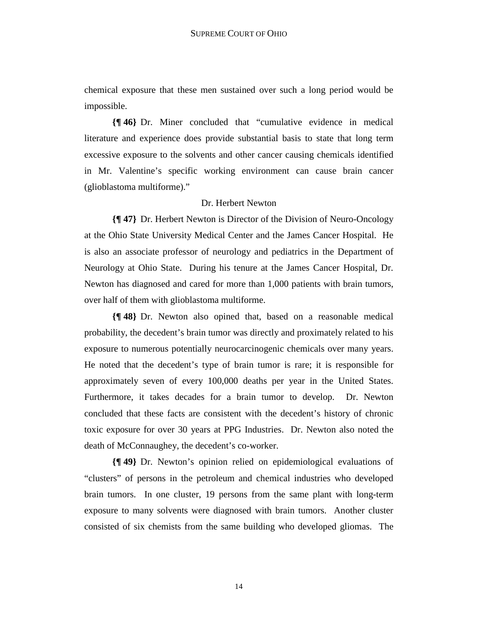chemical exposure that these men sustained over such a long period would be impossible.

**{¶ 46}** Dr. Miner concluded that "cumulative evidence in medical literature and experience does provide substantial basis to state that long term excessive exposure to the solvents and other cancer causing chemicals identified in Mr. Valentine's specific working environment can cause brain cancer (glioblastoma multiforme)."

# Dr. Herbert Newton

**{¶ 47}** Dr. Herbert Newton is Director of the Division of Neuro-Oncology at the Ohio State University Medical Center and the James Cancer Hospital. He is also an associate professor of neurology and pediatrics in the Department of Neurology at Ohio State. During his tenure at the James Cancer Hospital, Dr. Newton has diagnosed and cared for more than 1,000 patients with brain tumors, over half of them with glioblastoma multiforme.

**{¶ 48}** Dr. Newton also opined that, based on a reasonable medical probability, the decedent's brain tumor was directly and proximately related to his exposure to numerous potentially neurocarcinogenic chemicals over many years. He noted that the decedent's type of brain tumor is rare; it is responsible for approximately seven of every 100,000 deaths per year in the United States. Furthermore, it takes decades for a brain tumor to develop. Dr. Newton concluded that these facts are consistent with the decedent's history of chronic toxic exposure for over 30 years at PPG Industries. Dr. Newton also noted the death of McConnaughey, the decedent's co-worker.

**{¶ 49}** Dr. Newton's opinion relied on epidemiological evaluations of "clusters" of persons in the petroleum and chemical industries who developed brain tumors. In one cluster, 19 persons from the same plant with long-term exposure to many solvents were diagnosed with brain tumors. Another cluster consisted of six chemists from the same building who developed gliomas. The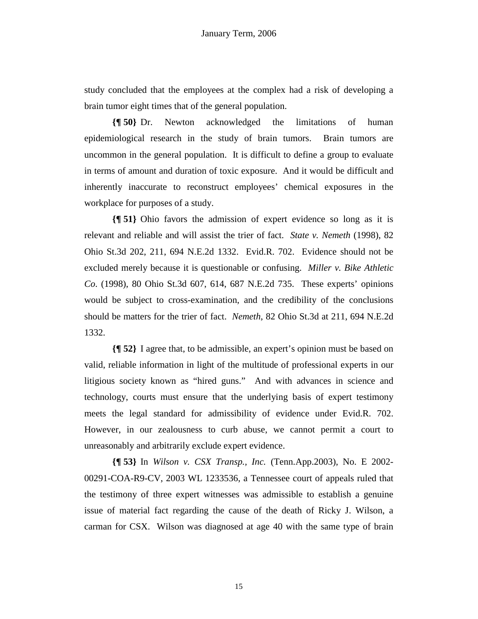study concluded that the employees at the complex had a risk of developing a brain tumor eight times that of the general population.

**{¶ 50}** Dr. Newton acknowledged the limitations of human epidemiological research in the study of brain tumors. Brain tumors are uncommon in the general population. It is difficult to define a group to evaluate in terms of amount and duration of toxic exposure. And it would be difficult and inherently inaccurate to reconstruct employees' chemical exposures in the workplace for purposes of a study.

**{¶ 51}** Ohio favors the admission of expert evidence so long as it is relevant and reliable and will assist the trier of fact. *State v. Nemeth* (1998), 82 Ohio St.3d 202, 211, 694 N.E.2d 1332. Evid.R. 702. Evidence should not be excluded merely because it is questionable or confusing. *Miller v. Bike Athletic Co*. (1998), 80 Ohio St.3d 607, 614, 687 N.E.2d 735. These experts' opinions would be subject to cross-examination, and the credibility of the conclusions should be matters for the trier of fact. *Nemeth*, 82 Ohio St.3d at 211, 694 N.E.2d 1332.

**{¶ 52}** I agree that, to be admissible, an expert's opinion must be based on valid, reliable information in light of the multitude of professional experts in our litigious society known as "hired guns." And with advances in science and technology, courts must ensure that the underlying basis of expert testimony meets the legal standard for admissibility of evidence under Evid.R. 702. However, in our zealousness to curb abuse, we cannot permit a court to unreasonably and arbitrarily exclude expert evidence.

**{¶ 53}** In *Wilson v. CSX Transp., Inc.* (Tenn.App.2003), No. E 2002- 00291-COA-R9-CV, 2003 WL 1233536, a Tennessee court of appeals ruled that the testimony of three expert witnesses was admissible to establish a genuine issue of material fact regarding the cause of the death of Ricky J. Wilson, a carman for CSX. Wilson was diagnosed at age 40 with the same type of brain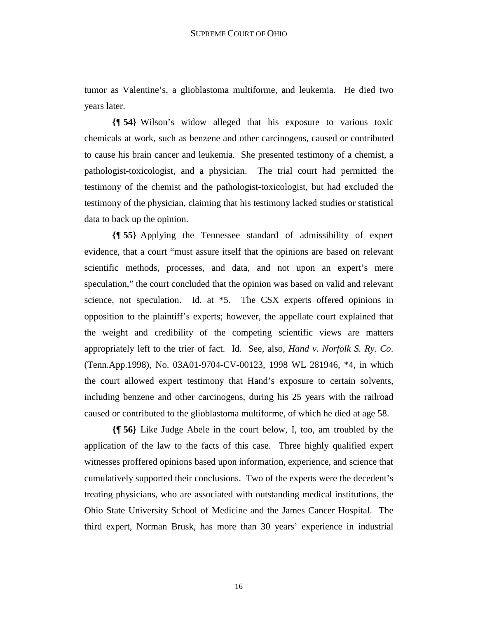tumor as Valentine's, a glioblastoma multiforme, and leukemia. He died two years later.

**{¶ 54}** Wilson's widow alleged that his exposure to various toxic chemicals at work, such as benzene and other carcinogens, caused or contributed to cause his brain cancer and leukemia. She presented testimony of a chemist, a pathologist-toxicologist, and a physician. The trial court had permitted the testimony of the chemist and the pathologist-toxicologist, but had excluded the testimony of the physician, claiming that his testimony lacked studies or statistical data to back up the opinion.

**{¶ 55}** Applying the Tennessee standard of admissibility of expert evidence, that a court "must assure itself that the opinions are based on relevant scientific methods, processes, and data, and not upon an expert's mere speculation," the court concluded that the opinion was based on valid and relevant science, not speculation. Id. at \*5. The CSX experts offered opinions in opposition to the plaintiff's experts; however, the appellate court explained that the weight and credibility of the competing scientific views are matters appropriately left to the trier of fact. Id. See, also, *Hand v. Norfolk S. Ry. Co*. (Tenn.App.1998), No. 03A01-9704-CV-00123, 1998 WL 281946, \*4, in which the court allowed expert testimony that Hand's exposure to certain solvents, including benzene and other carcinogens, during his 25 years with the railroad caused or contributed to the glioblastoma multiforme, of which he died at age 58.

**{¶ 56}** Like Judge Abele in the court below, I, too, am troubled by the application of the law to the facts of this case. Three highly qualified expert witnesses proffered opinions based upon information, experience, and science that cumulatively supported their conclusions. Two of the experts were the decedent's treating physicians, who are associated with outstanding medical institutions, the Ohio State University School of Medicine and the James Cancer Hospital. The third expert, Norman Brusk, has more than 30 years' experience in industrial